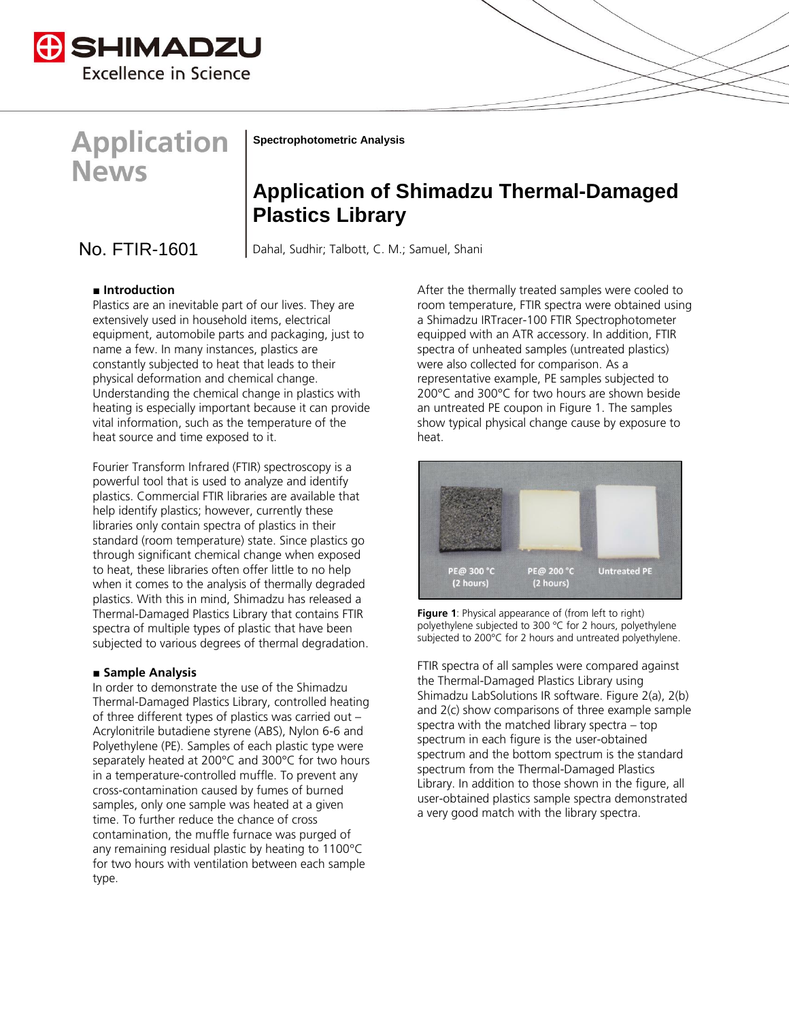



**Spectrophotometric Analysis**

# **Application of Shimadzu Thermal-Damaged Plastics Library**

No. FTIR-1601 Dahal, Sudhir; Talbott, C. M.; Samuel, Shani

# **■ Introduction**

Plastics are an inevitable part of our lives. They are extensively used in household items, electrical equipment, automobile parts and packaging, just to name a few. In many instances, plastics are constantly subjected to heat that leads to their physical deformation and chemical change. Understanding the chemical change in plastics with heating is especially important because it can provide vital information, such as the temperature of the heat source and time exposed to it.

Fourier Transform Infrared (FTIR) spectroscopy is a powerful tool that is used to analyze and identify plastics. Commercial FTIR libraries are available that help identify plastics; however, currently these libraries only contain spectra of plastics in their standard (room temperature) state. Since plastics go through significant chemical change when exposed to heat, these libraries often offer little to no help when it comes to the analysis of thermally degraded plastics. With this in mind, Shimadzu has released a Thermal-Damaged Plastics Library that contains FTIR spectra of multiple types of plastic that have been subjected to various degrees of thermal degradation.

## **■ Sample Analysis**

In order to demonstrate the use of the Shimadzu Thermal-Damaged Plastics Library, controlled heating of three different types of plastics was carried out – Acrylonitrile butadiene styrene (ABS), Nylon 6-6 and Polyethylene (PE). Samples of each plastic type were separately heated at 200°C and 300°C for two hours in a temperature-controlled muffle. To prevent any cross-contamination caused by fumes of burned samples, only one sample was heated at a given time. To further reduce the chance of cross contamination, the muffle furnace was purged of any remaining residual plastic by heating to 1100°C for two hours with ventilation between each sample type.

After the thermally treated samples were cooled to room temperature, FTIR spectra were obtained using a Shimadzu IRTracer-100 FTIR Spectrophotometer equipped with an ATR accessory. In addition, FTIR spectra of unheated samples (untreated plastics) were also collected for comparison. As a representative example, PE samples subjected to 200°C and 300°C for two hours are shown beside an untreated PE coupon in Figure 1. The samples show typical physical change cause by exposure to heat.



**Figure 1:** Physical appearance of (from left to right) polyethylene subjected to 300 °C for 2 hours, polyethylene subjected to 200°C for 2 hours and untreated polyethylene.

FTIR spectra of all samples were compared against the Thermal-Damaged Plastics Library using Shimadzu LabSolutions IR software. Figure 2(a), 2(b) and 2(c) show comparisons of three example sample spectra with the matched library spectra – top spectrum in each figure is the user-obtained spectrum and the bottom spectrum is the standard spectrum from the Thermal-Damaged Plastics Library. In addition to those shown in the figure, all user-obtained plastics sample spectra demonstrated a very good match with the library spectra.